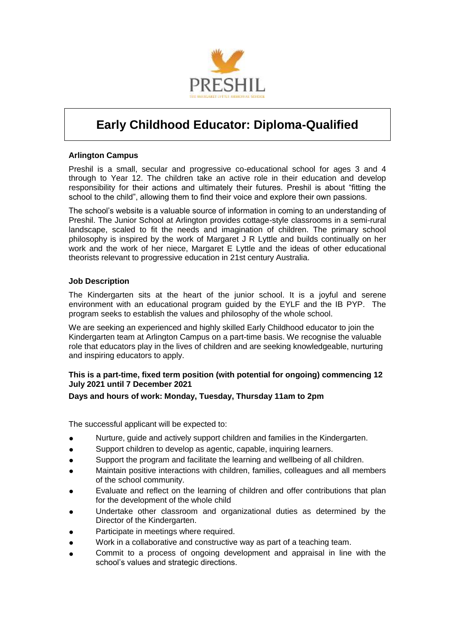

# **Early Childhood Educator: Diploma-Qualified**

#### **Arlington Campus**

Preshil is a small, secular and progressive co-educational school for ages 3 and 4 through to Year 12. The children take an active role in their education and develop responsibility for their actions and ultimately their futures. Preshil is about "fitting the school to the child", allowing them to find their voice and explore their own passions.

The school's website is a valuable source of information in coming to an understanding of Preshil. The Junior School at Arlington provides cottage-style classrooms in a semi-rural landscape, scaled to fit the needs and imagination of children. The primary school philosophy is inspired by the work of Margaret J R Lyttle and builds continually on her work and the work of her niece, Margaret E Lyttle and the ideas of other educational theorists relevant to progressive education in 21st century Australia.

#### **Job Description**

The Kindergarten sits at the heart of the junior school. It is a joyful and serene environment with an educational program guided by the EYLF and the IB PYP. The program seeks to establish the values and philosophy of the whole school.

We are seeking an experienced and highly skilled Early Childhood educator to join the Kindergarten team at Arlington Campus on a part-time basis. We recognise the valuable role that educators play in the lives of children and are seeking knowledgeable, nurturing and inspiring educators to apply.

#### **This is a part-time, fixed term position (with potential for ongoing) commencing 12 July 2021 until 7 December 2021**

#### **Days and hours of work: Monday, Tuesday, Thursday 11am to 2pm**

The successful applicant will be expected to:

- Nurture, guide and actively support children and families in the Kindergarten.
- Support children to develop as agentic, capable, inquiring learners.
- Support the program and facilitate the learning and wellbeing of all children.
- Maintain positive interactions with children, families, colleagues and all members of the school community.
- Evaluate and reflect on the learning of children and offer contributions that plan for the development of the whole child
- Undertake other classroom and organizational duties as determined by the Director of the Kindergarten.
- Participate in meetings where required.
- Work in a collaborative and constructive way as part of a teaching team.
- Commit to a process of ongoing development and appraisal in line with the school's values and strategic directions.